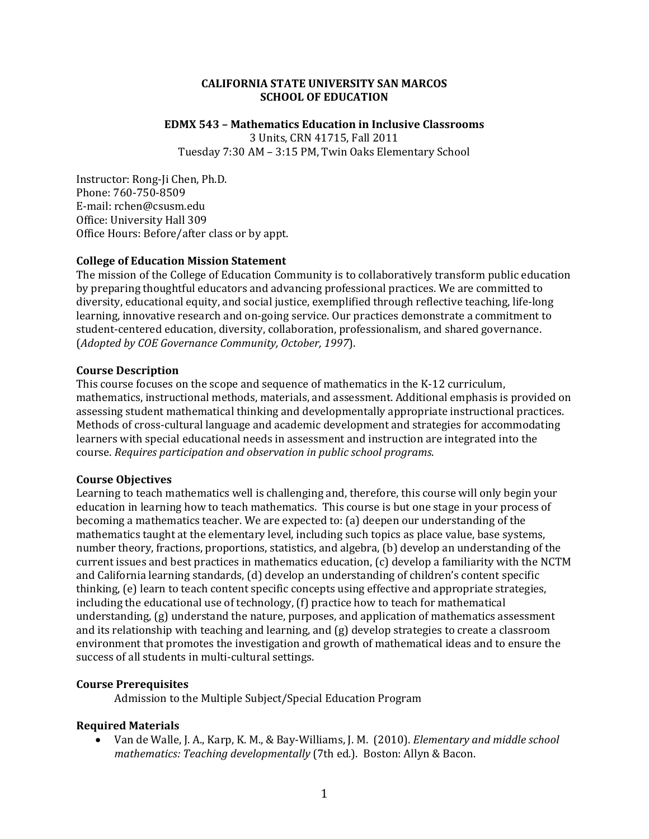#### **CALIFORNIA STATE UNIVERSITY SAN MARCOS SCHOOL OF EDUCATION**

#### **EDMX 543 – Mathematics Education in Inclusive Classrooms**

3 Units, CRN 41715, Fall 2011

Tuesday 7:30 AM – 3:15 PM, Twin Oaks Elementary School

Instructor: Rong-Ji Chen, Ph.D. Phone: 760‐750‐8509 E‐mail: rchen@csusm.edu Office: University Hall 309 Office Hours: Before/after class or by appt.

#### **College of Education Mission Statement**

 The mission of the College of Education Community is to collaboratively transform public education  (*Adopted by COE Governance Community, October, 1997*). by preparing thoughtful educators and advancing professional practices. We are committed to diversity, educational equity, and social justice, exemplified through reflective teaching, life‐long learning, innovative research and on‐going service. Our practices demonstrate a commitment to student‐centered education, diversity, collaboration, professionalism, and shared governance.

#### **Course Description**

 course. *Requires participation and observation in public school programs*. This course focuses on the scope and sequence of mathematics in the K‐12 curriculum, mathematics, instructional methods, materials, and assessment. Additional emphasis is provided on assessing student mathematical thinking and developmentally appropriate instructional practices. Methods of cross‐cultural language and academic development and strategies for accommodating learners with special educational needs in assessment and instruction are integrated into the

#### **Course Objectives**

Learning to teach mathematics well is challenging and, therefore, this course will only begin your education in learning how to teach mathematics. This course is but one stage in your process of becoming a mathematics teacher. We are expected to: (a) deepen our understanding of the mathematics taught at the elementary level, including such topics as place value, base systems, number theory, fractions, proportions, statistics, and algebra, (b) develop an understanding of the current issues and best practices in mathematics education, (c) develop a familiarity with the NCTM and California learning standards, (d) develop an understanding of children's content specific thinking, (e) learn to teach content specific concepts using effective and appropriate strategies, including the educational use of technology, (f) practice how to teach for mathematical understanding, (g) understand the nature, purposes, and application of mathematics assessment and its relationship with teaching and learning, and (g) develop strategies to create a classroom environment that promotes the investigation and growth of mathematical ideas and to ensure the success of all students in multi-cultural settings.

# **Course Prerequisites**

Admission to the Multiple Subject/Special Education Program

### **Required Materials**

 Van de Walle, J. A., Karp, K. M., & Bay‐Williams, J. M. (2010). *Elementary and middle school mathematics: Teaching developmentally* (7th ed.). Boston: Allyn & Bacon.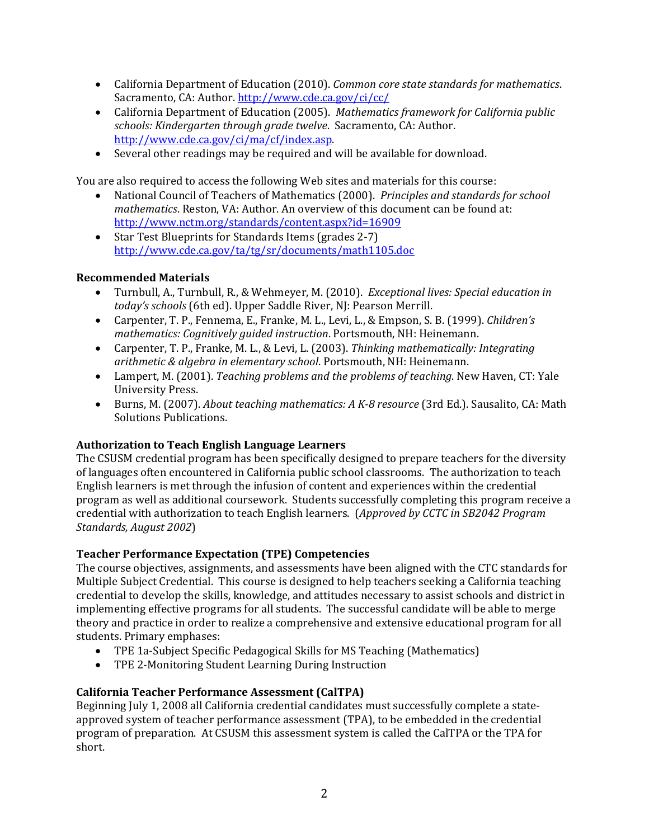- California Department of Education (2010). *Common core state standards for mathematics*. Sacramento, CA: Author. http://www.cde.ca.gov/ci/cc/
- California Department of Education (2005). *Mathematics framework for California public schools: Kindergarten through grade twelve*. Sacramento, CA: Author. http://www.cde.ca.gov/ci/ma/cf/index.asp.
- Several other readings may be required and will be available for download.

You are also required to access the following Web sites and materials for this course:

- National Council of Teachers of Mathematics (2000). *Principles and standards for school* http://www.nctm.org/standards/content.aspx?id=16909 *mathematics*. Reston, VA: Author. An overview of this document can be found at:
- http://www.cde.ca.gov/ta/tg/sr/documents/math1105.doc ● Star Test Blueprints for Standards Items (grades 2-7)

# **Recommended Materials**

- Turnbull, A., Turnbull, R., & Wehmeyer, M. (2010). *Exceptional lives: Special education in today's schools* (6th ed). Upper Saddle River, NJ: Pearson Merrill.
- *mathematics: Cognitively guided instruction*. Portsmouth, NH: Heinemann. Carpenter, T. P., Fennema, E., Franke, M. L., Levi, L., & Empson, S. B. (1999). *Children's*
- Carpenter, T. P., Franke, M. L., & Levi, L. (2003). *Thinking mathematically: Integrating arithmetic & algebra in elementary school*. Portsmouth, NH: Heinemann.
- Lampert, M. (2001). *Teaching problems and the problems of teaching*. New Haven, CT: Yale University Press.
- Burns, M. (2007). *About teaching mathematics: A K‐8 resource* (3rd Ed.). Sausalito, CA: Math Solutions Publications.

# **Authorization to Teach English Language Learners**

 credential with authorization to teach English learners. (*Approved by CCTC in SB2042 Program Standards, August 2002*) The CSUSM credential program has been specifically designed to prepare teachers for the diversity of languages often encountered in California public school classrooms. The authorization to teach English learners is met through the infusion of content and experiences within the credential program as well as additional coursework. Students successfully completing this program receive a

### **Teacher Performance Expectation (TPE) Competencies**

The course objectives, assignments, and assessments have been aligned with the CTC standards for Multiple Subject Credential. This course is designed to help teachers seeking a California teaching credential to develop the skills, knowledge, and attitudes necessary to assist schools and district in implementing effective programs for all students. The successful candidate will be able to merge theory and practice in order to realize a comprehensive and extensive educational program for all students. Primary emphases:

- TPE 1a-Subject Specific Pedagogical Skills for MS Teaching (Mathematics)
- TPE 2-Monitoring Student Learning During Instruction

## **California Teacher Performance Assessment (CalTPA)**

Beginning July 1, 2008 all California credential candidates must successfully complete a stateapproved system of teacher performance assessment (TPA), to be embedded in the credential program of preparation. At CSUSM this assessment system is called the CalTPA or the TPA for short.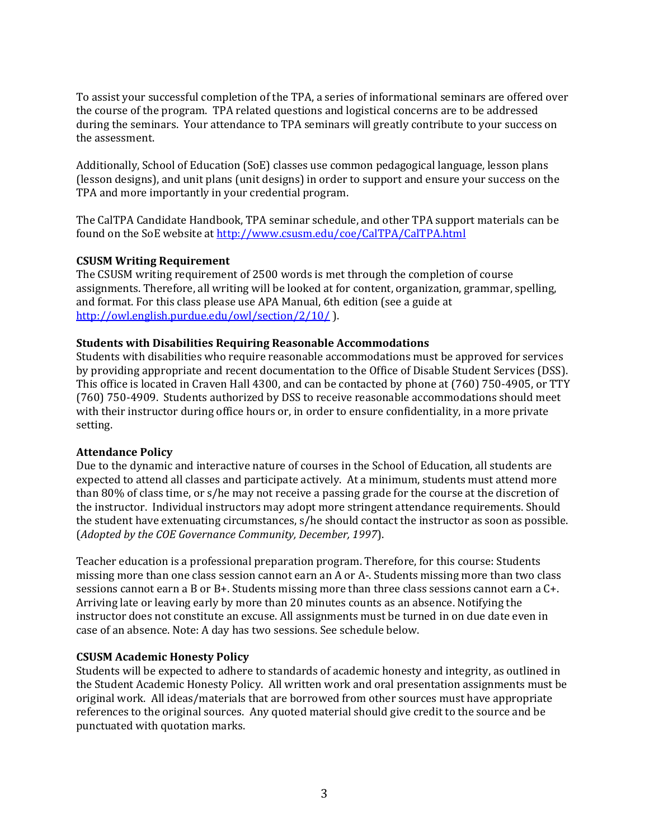To assist your successful completion of the TPA, a series of informational seminars are offered over the course of the program. TPA related questions and logistical concerns are to be addressed during the seminars. Your attendance to TPA seminars will greatly contribute to your success on the assessment.

Additionally, School of Education (SoE) classes use common pedagogical language, lesson plans (lesson designs), and unit plans (unit designs) in order to support and ensure your success on the TPA and more importantly in your credential program.

found on the SoE website at http://www.csusm.edu/coe/CalTPA/CalTPA.html The CalTPA Candidate Handbook, TPA seminar schedule, and other TPA support materials can be

## **CSUSM Writing Requirement**

The CSUSM writing requirement of 2500 words is met through the completion of course assignments. Therefore, all writing will be looked at for content, organization, grammar, spelling, and format. For this class please use APA Manual, 6th edition (see a guide at http://owl.english.purdue.edu/owl/section/2/10/ ).

#### **Students with Disabilities Requiring Reasonable Accommodations**

Students with disabilities who require reasonable accommodations must be approved for services by providing appropriate and recent documentation to the Office of Disable Student Services (DSS). This office is located in Craven Hall 4300, and can be contacted by phone at (760) 750‐4905, or TTY (760) 750‐4909. Students authorized by DSS to receive reasonable accommodations should meet with their instructor during office hours or, in order to ensure confidentiality, in a more private setting.

#### **Attendance Policy**

 (*Adopted by the COE Governance Community, December, 1997*). Due to the dynamic and interactive nature of courses in the School of Education, all students are expected to attend all classes and participate actively. At a minimum, students must attend more than 80% of class time, or s/he may not receive a passing grade for the course at the discretion of the instructor. Individual instructors may adopt more stringent attendance requirements. Should the student have extenuating circumstances, s/he should contact the instructor as soon as possible.

 Arriving late or leaving early by more than 20 minutes counts as an absence. Notifying the Teacher education is a professional preparation program. Therefore, for this course: Students missing more than one class session cannot earn an A or A‐. Students missing more than two class sessions cannot earn a B or B+. Students missing more than three class sessions cannot earn a C+. instructor does not constitute an excuse. All assignments must be turned in on due date even in case of an absence. Note: A day has two sessions. See schedule below.

### **CSUSM Academic Honesty Policy**

Students will be expected to adhere to standards of academic honesty and integrity, as outlined in the Student Academic Honesty Policy. All written work and oral presentation assignments must be original work. All ideas/materials that are borrowed from other sources must have appropriate references to the original sources. Any quoted material should give credit to the source and be punctuated with quotation marks.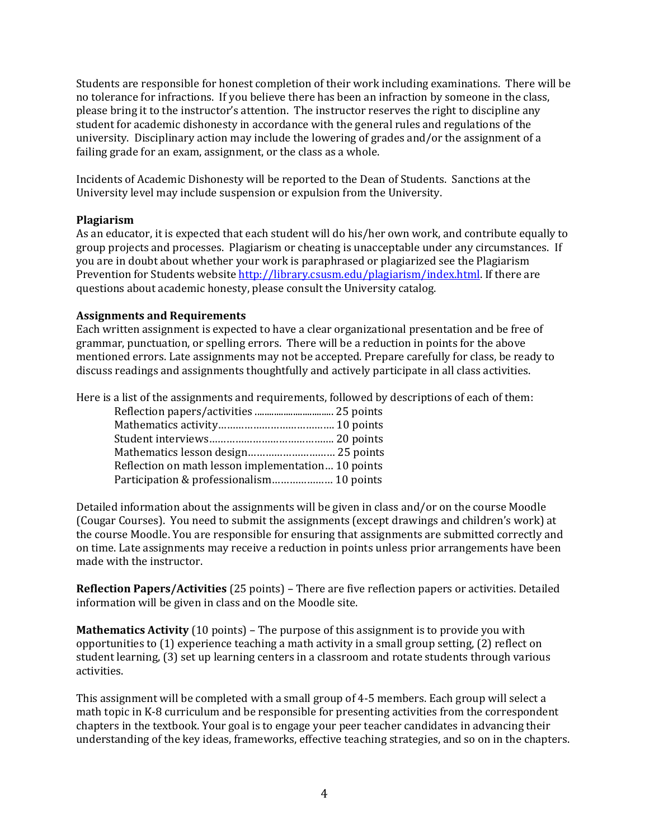student for academic dishonesty in accordance with the general rules and regulations of the Students are responsible for honest completion of their work including examinations. There will be no tolerance for infractions. If you believe there has been an infraction by someone in the class, please bring it to the instructor's attention. The instructor reserves the right to discipline any university. Disciplinary action may include the lowering of grades and/or the assignment of a failing grade for an exam, assignment, or the class as a whole.

Incidents of Academic Dishonesty will be reported to the Dean of Students. Sanctions at the University level may include suspension or expulsion from the University.

#### **Plagiarism**

As an educator, it is expected that each student will do his/her own work, and contribute equally to group projects and processes. Plagiarism or cheating is unacceptable under any circumstances. If you are in doubt about whether your work is paraphrased or plagiarized see the Plagiarism Prevention for Students website http://library.csusm.edu/plagiarism/index.html. If there are questions about academic honesty, please consult the University catalog.

### **Assignments and Requirements**

Each written assignment is expected to have a clear organizational presentation and be free of grammar, punctuation, or spelling errors. There will be a reduction in points for the above mentioned errors. Late assignments may not be accepted. Prepare carefully for class, be ready to discuss readings and assignments thoughtfully and actively participate in all class activities.

Here is a list of the assignments and requirements, followed by descriptions of each of them:

| Reflection on math lesson implementation 10 points |  |
|----------------------------------------------------|--|
|                                                    |  |

Detailed information about the assignments will be given in class and/or on the course Moodle (Cougar Courses). You need to submit the assignments (except drawings and children's work) at the course Moodle. You are responsible for ensuring that assignments are submitted correctly and on time. Late assignments may receive a reduction in points unless prior arrangements have been made with the instructor.

**Reflection Papers/Activities** (25 points) – There are five reflection papers or activities. Detailed information will be given in class and on the Moodle site.

 opportunities to (1) experience teaching a math activity in a small group setting, (2) reflect on **Mathematics Activity** (10 points) – The purpose of this assignment is to provide you with student learning, (3) set up learning centers in a classroom and rotate students through various activities.

This assignment will be completed with a small group of 4‐5 members. Each group will select a math topic in K‐8 curriculum and be responsible for presenting activities from the correspondent chapters in the textbook. Your goal is to engage your peer teacher candidates in advancing their understanding of the key ideas, frameworks, effective teaching strategies, and so on in the chapters.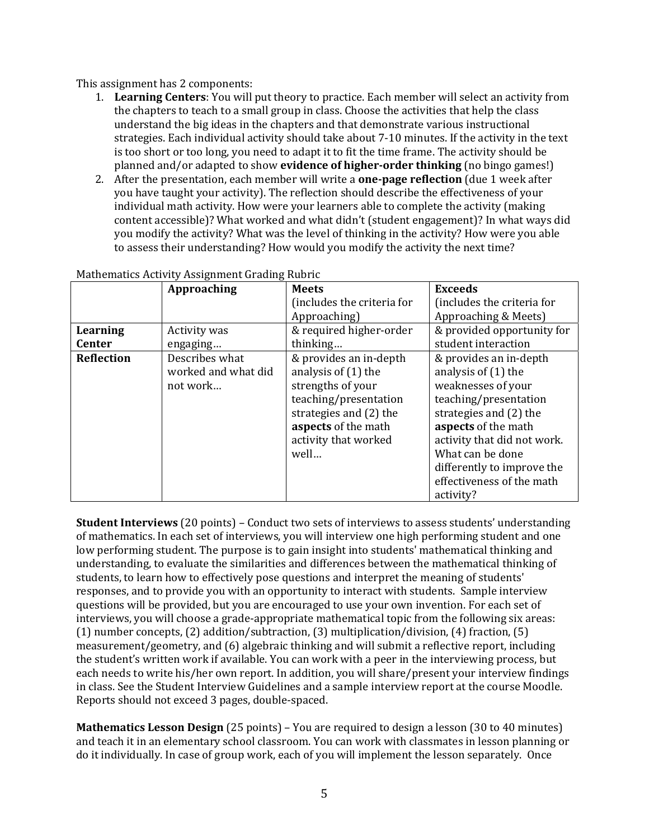This assignment has 2 components:

- is too short or too long, you need to adapt it to fit the time frame. The activity should be  planned and/or adapted to show **evidence of higher‐order thinking** (no bingo games!) 1. **Learning Centers**: You will put theory to practice. Each member will select an activity from the chapters to teach to a small group in class. Choose the activities that help the class understand the big ideas in the chapters and that demonstrate various instructional strategies. Each individual activity should take about 7‐10 minutes. If the activity in the text
- 2. After the presentation, each member will write a **one‐page reflection** (due 1 week after you modify the activity? What was the level of thinking in the activity? How were you able to assess their understanding? How would you modify the activity the next time? you have taught your activity). The reflection should describe the effectiveness of your individual math activity. How were your learners able to complete the activity (making content accessible)? What worked and what didn't (student engagement)? In what ways did

|                   | Approaching         | <b>Meets</b>               | <b>Exceeds</b>              |
|-------------------|---------------------|----------------------------|-----------------------------|
|                   |                     | (includes the criteria for | (includes the criteria for  |
|                   |                     | Approaching)               | Approaching & Meets)        |
| Learning          | Activity was        | & required higher-order    | & provided opportunity for  |
| <b>Center</b>     | engaging            | thinking                   | student interaction         |
| <b>Reflection</b> | Describes what      | & provides an in-depth     | & provides an in-depth      |
|                   | worked and what did | analysis of (1) the        | analysis of (1) the         |
|                   | not work            | strengths of your          | weaknesses of your          |
|                   |                     | teaching/presentation      | teaching/presentation       |
|                   |                     | strategies and (2) the     | strategies and (2) the      |
|                   |                     | aspects of the math        | aspects of the math         |
|                   |                     | activity that worked       | activity that did not work. |
|                   |                     | well                       | What can be done            |
|                   |                     |                            | differently to improve the  |
|                   |                     |                            | effectiveness of the math   |
|                   |                     |                            | activity?                   |

### Mathematics Activity Assignment Grading Rubric

**Student Interviews** (20 points) – Conduct two sets of interviews to assess students' understanding of mathematics. In each set of interviews, you will interview one high performing student and one low performing student. The purpose is to gain insight into students' mathematical thinking and understanding, to evaluate the similarities and differences between the mathematical thinking of students, to learn how to effectively pose questions and interpret the meaning of students' responses, and to provide you with an opportunity to interact with students. Sample interview questions will be provided, but you are encouraged to use your own invention. For each set of interviews, you will choose a grade‐appropriate mathematical topic from the following six areas: (1) number concepts, (2) addition/subtraction, (3) multiplication/division, (4) fraction, (5) measurement/geometry, and (6) algebraic thinking and will submit a reflective report, including the student's written work if available. You can work with a peer in the interviewing process, but each needs to write his/her own report. In addition, you will share/present your interview findings in class. See the Student Interview Guidelines and a sample interview report at the course Moodle. Reports should not exceed 3 pages, double‐spaced.

 **Mathematics Lesson Design** (25 points) – You are required to design a lesson (30 to 40 minutes) and teach it in an elementary school classroom. You can work with classmates in lesson planning or do it individually. In case of group work, each of you will implement the lesson separately. Once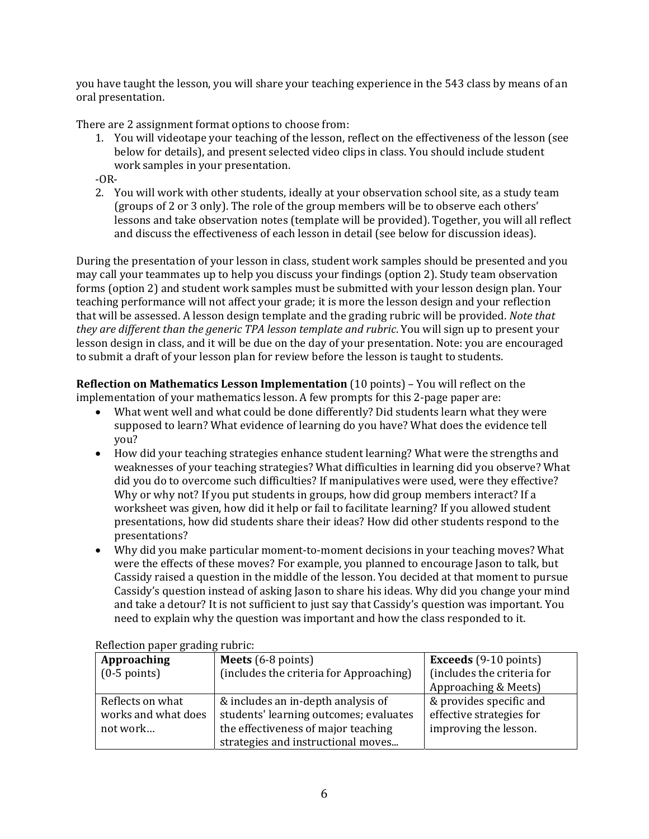you have taught the lesson, you will share your teaching experience in the 543 class by means of an oral presentation.

There are 2 assignment format options to choose from:

 1. You will videotape your teaching of the lesson, reflect on the effectiveness of the lesson (see below for details), and present selected video clips in class. You should include student work samples in your presentation.

### $-OR-$

 2. You will work with other students, ideally at your observation school site, as a study team (groups of 2 or 3 only). The role of the group members will be to observe each others' lessons and take observation notes (template will be provided). Together, you will all reflect and discuss the effectiveness of each lesson in detail (see below for discussion ideas).

 that will be assessed. A lesson design template and the grading rubric will be provided. *Note that they are different than the generic TPA lesson template and rubric*. You will sign up to present your During the presentation of your lesson in class, student work samples should be presented and you may call your teammates up to help you discuss your findings (option 2). Study team observation forms (option 2) and student work samples must be submitted with your lesson design plan. Your teaching performance will not affect your grade; it is more the lesson design and your reflection lesson design in class, and it will be due on the day of your presentation. Note: you are encouraged to submit a draft of your lesson plan for review before the lesson is taught to students.

 **Reflection on Mathematics Lesson Implementation** (10 points) – You will reflect on the implementation of your mathematics lesson. A few prompts for this 2‐page paper are:

- supposed to learn? What evidence of learning do you have? What does the evidence tell What went well and what could be done differently? Did students learn what they were you?
- How did your teaching strategies enhance student learning? What were the strengths and weaknesses of your teaching strategies? What difficulties in learning did you observe? What did you do to overcome such difficulties? If manipulatives were used, were they effective? Why or why not? If you put students in groups, how did group members interact? If a worksheet was given, how did it help or fail to facilitate learning? If you allowed student presentations, how did students share their ideas? How did other students respond to the presentations?
- Cassidy raised a question in the middle of the lesson. You decided at that moment to pursue Why did you make particular moment‐to‐moment decisions in your teaching moves? What were the effects of these moves? For example, you planned to encourage Jason to talk, but Cassidy's question instead of asking Jason to share his ideas. Why did you change your mind and take a detour? It is not sufficient to just say that Cassidy's question was important. You need to explain why the question was important and how the class responded to it.

| rencendir paper grading rubrie. |                                         |                              |  |
|---------------------------------|-----------------------------------------|------------------------------|--|
| Approaching                     | Meets $(6-8 \text{ points})$            | <b>Exceeds</b> (9-10 points) |  |
| $(0-5$ points)                  | (includes the criteria for Approaching) | (includes the criteria for   |  |
|                                 |                                         | Approaching & Meets)         |  |
| Reflects on what                | & includes an in-depth analysis of      | & provides specific and      |  |
| works and what does             | students' learning outcomes; evaluates  | effective strategies for     |  |
| not work                        | the effectiveness of major teaching     | improving the lesson.        |  |
|                                 | strategies and instructional moves      |                              |  |

Reflection paper grading rubric: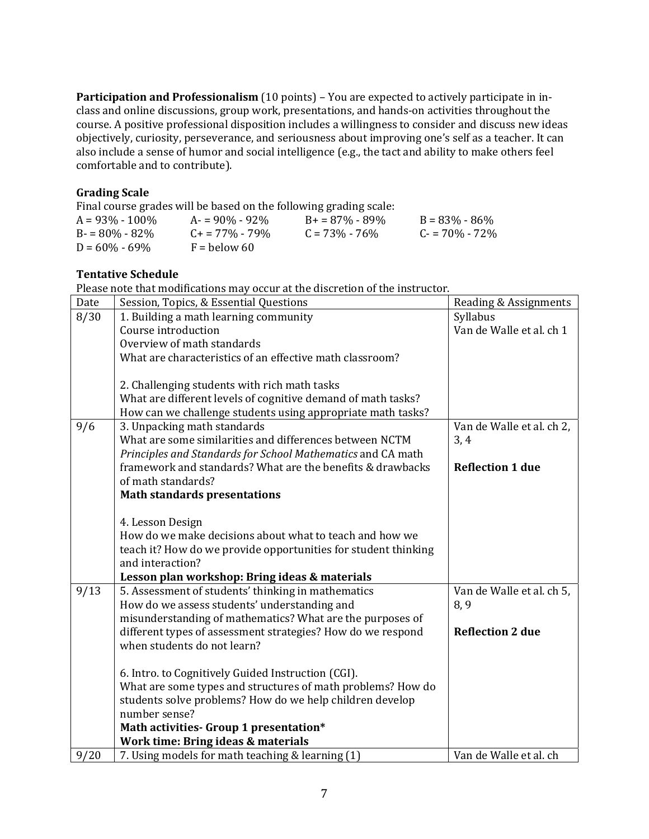**Participation and Professionalism** (10 points) – You are expected to actively participate in in‐ class and online discussions, group work, presentations, and hands‐on activities throughout the course. A positive professional disposition includes a willingness to consider and discuss new ideas objectively, curiosity, perseverance, and seriousness about improving one's self as a teacher. It can also include a sense of humor and social intelligence (e.g., the tact and ability to make others feel comfortable and to contribute).

# **Grading Scale**

Final course grades will be based on the following grading scale:

|                    |                          | .                  |                   |
|--------------------|--------------------------|--------------------|-------------------|
| $A = 93\% - 100\%$ | $A = 90\% - 92\%$        | $B+ = 87\% - 89\%$ | $B = 83\% - 86\%$ |
| $B = 80\% - 82\%$  | $C_{\rm{+}}$ = 77% - 79% | $C = 73\% - 76\%$  | $C = 70\% - 72\%$ |
| $D = 60\% - 69\%$  | $F =$ below 60           |                    |                   |

# **Tentative Schedule**

Please note that modifications may occur at the discretion of the instructor.

| Date | Session, Topics, & Essential Questions                                                                            | Reading & Assignments     |
|------|-------------------------------------------------------------------------------------------------------------------|---------------------------|
| 8/30 | 1. Building a math learning community                                                                             | Syllabus                  |
|      | Course introduction                                                                                               | Van de Walle et al. ch 1  |
|      | Overview of math standards                                                                                        |                           |
|      | What are characteristics of an effective math classroom?                                                          |                           |
|      |                                                                                                                   |                           |
|      | 2. Challenging students with rich math tasks                                                                      |                           |
|      | What are different levels of cognitive demand of math tasks?                                                      |                           |
|      | How can we challenge students using appropriate math tasks?                                                       |                           |
| 9/6  | 3. Unpacking math standards                                                                                       | Van de Walle et al. ch 2, |
|      | What are some similarities and differences between NCTM                                                           | 3, 4                      |
|      | Principles and Standards for School Mathematics and CA math                                                       |                           |
|      | framework and standards? What are the benefits & drawbacks<br>of math standards?                                  | <b>Reflection 1 due</b>   |
|      | <b>Math standards presentations</b>                                                                               |                           |
|      |                                                                                                                   |                           |
|      | 4. Lesson Design                                                                                                  |                           |
|      | How do we make decisions about what to teach and how we                                                           |                           |
|      | teach it? How do we provide opportunities for student thinking                                                    |                           |
|      | and interaction?                                                                                                  |                           |
|      | Lesson plan workshop: Bring ideas & materials                                                                     |                           |
| 9/13 | 5. Assessment of students' thinking in mathematics                                                                | Van de Walle et al. ch 5, |
|      | How do we assess students' understanding and                                                                      | 8,9                       |
|      | misunderstanding of mathematics? What are the purposes of                                                         |                           |
|      | different types of assessment strategies? How do we respond                                                       | <b>Reflection 2 due</b>   |
|      | when students do not learn?                                                                                       |                           |
|      |                                                                                                                   |                           |
|      | 6. Intro. to Cognitively Guided Instruction (CGI).<br>What are some types and structures of math problems? How do |                           |
|      | students solve problems? How do we help children develop                                                          |                           |
|      | number sense?                                                                                                     |                           |
|      | Math activities- Group 1 presentation*                                                                            |                           |
|      | Work time: Bring ideas & materials                                                                                |                           |
| 9/20 | 7. Using models for math teaching & learning (1)                                                                  | Van de Walle et al. ch    |